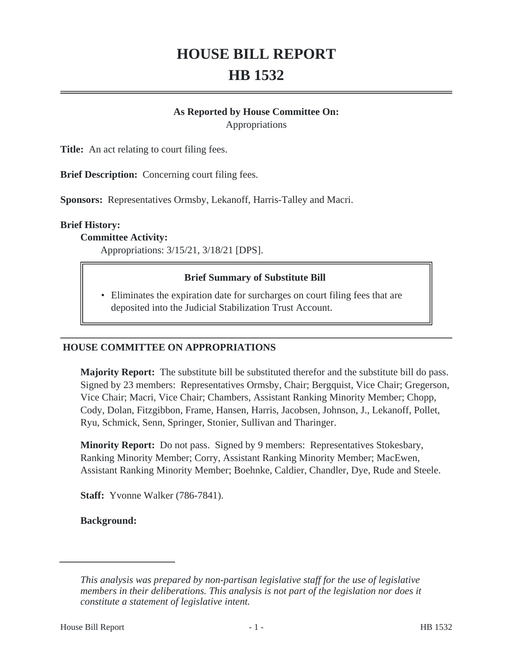# **HOUSE BILL REPORT HB 1532**

## **As Reported by House Committee On:**

Appropriations

**Title:** An act relating to court filing fees.

**Brief Description:** Concerning court filing fees.

**Sponsors:** Representatives Ormsby, Lekanoff, Harris-Talley and Macri.

#### **Brief History:**

#### **Committee Activity:**

Appropriations: 3/15/21, 3/18/21 [DPS].

#### **Brief Summary of Substitute Bill**

• Eliminates the expiration date for surcharges on court filing fees that are deposited into the Judicial Stabilization Trust Account.

#### **HOUSE COMMITTEE ON APPROPRIATIONS**

**Majority Report:** The substitute bill be substituted therefor and the substitute bill do pass. Signed by 23 members: Representatives Ormsby, Chair; Bergquist, Vice Chair; Gregerson, Vice Chair; Macri, Vice Chair; Chambers, Assistant Ranking Minority Member; Chopp, Cody, Dolan, Fitzgibbon, Frame, Hansen, Harris, Jacobsen, Johnson, J., Lekanoff, Pollet, Ryu, Schmick, Senn, Springer, Stonier, Sullivan and Tharinger.

**Minority Report:** Do not pass. Signed by 9 members: Representatives Stokesbary, Ranking Minority Member; Corry, Assistant Ranking Minority Member; MacEwen, Assistant Ranking Minority Member; Boehnke, Caldier, Chandler, Dye, Rude and Steele.

**Staff:** Yvonne Walker (786-7841).

**Background:**

*This analysis was prepared by non-partisan legislative staff for the use of legislative members in their deliberations. This analysis is not part of the legislation nor does it constitute a statement of legislative intent.*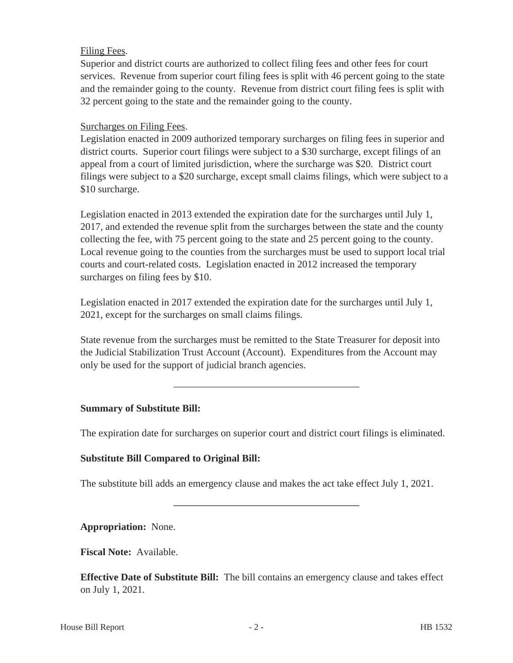## Filing Fees.

Superior and district courts are authorized to collect filing fees and other fees for court services. Revenue from superior court filing fees is split with 46 percent going to the state and the remainder going to the county. Revenue from district court filing fees is split with 32 percent going to the state and the remainder going to the county.

## Surcharges on Filing Fees.

Legislation enacted in 2009 authorized temporary surcharges on filing fees in superior and district courts. Superior court filings were subject to a \$30 surcharge, except filings of an appeal from a court of limited jurisdiction, where the surcharge was \$20. District court filings were subject to a \$20 surcharge, except small claims filings, which were subject to a \$10 surcharge.

Legislation enacted in 2013 extended the expiration date for the surcharges until July 1, 2017, and extended the revenue split from the surcharges between the state and the county collecting the fee, with 75 percent going to the state and 25 percent going to the county. Local revenue going to the counties from the surcharges must be used to support local trial courts and court-related costs. Legislation enacted in 2012 increased the temporary surcharges on filing fees by \$10.

Legislation enacted in 2017 extended the expiration date for the surcharges until July 1, 2021, except for the surcharges on small claims filings.

State revenue from the surcharges must be remitted to the State Treasurer for deposit into the Judicial Stabilization Trust Account (Account). Expenditures from the Account may only be used for the support of judicial branch agencies.

#### **Summary of Substitute Bill:**

The expiration date for surcharges on superior court and district court filings is eliminated.

#### **Substitute Bill Compared to Original Bill:**

The substitute bill adds an emergency clause and makes the act take effect July 1, 2021.

**Appropriation:** None.

**Fiscal Note:** Available.

**Effective Date of Substitute Bill:** The bill contains an emergency clause and takes effect on July 1, 2021.